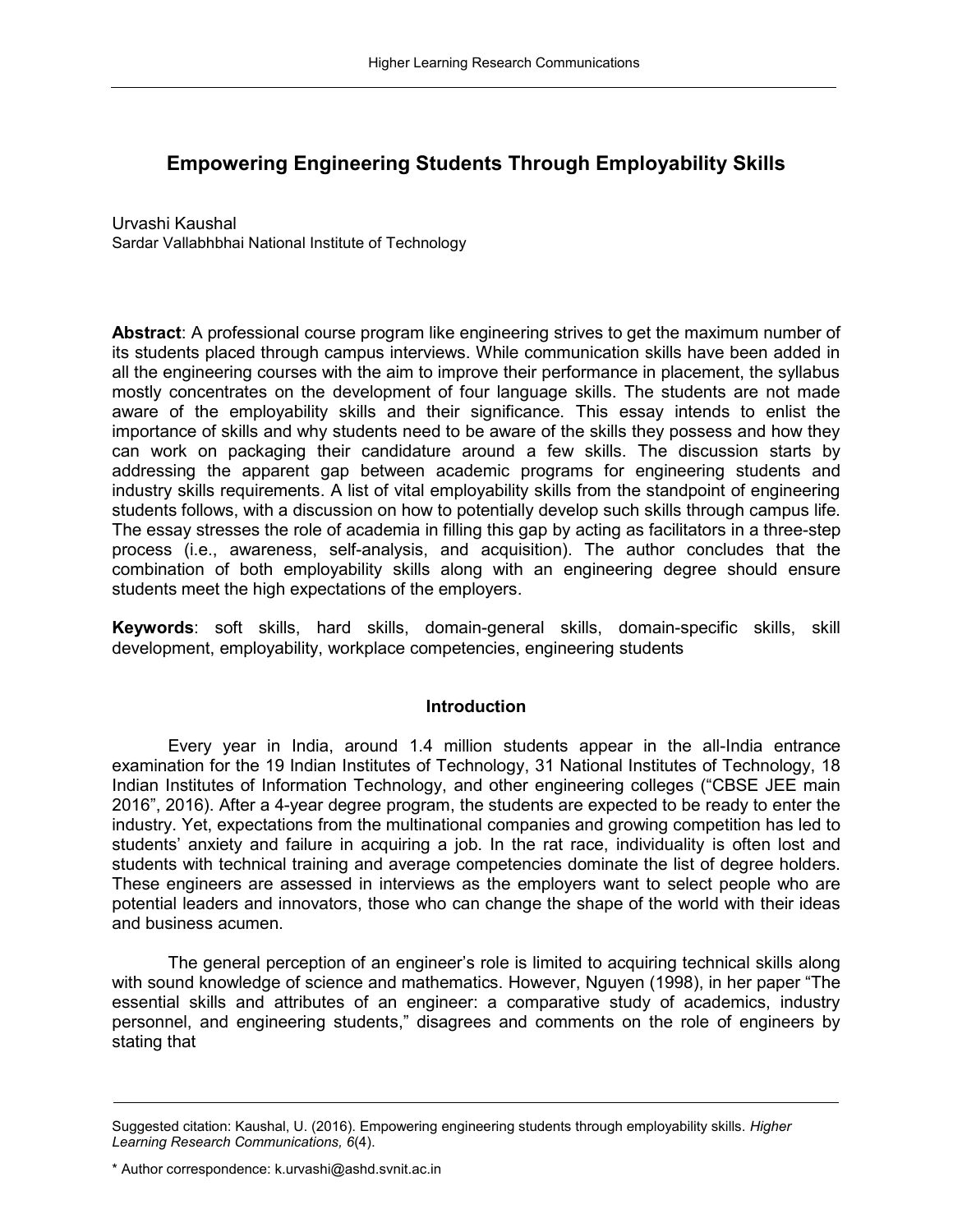# **Empowering Engineering Students Through Employability Skills**

Urvashi Kaushal Sardar Vallabhbhai National Institute of Technology

**Abstract**: A professional course program like engineering strives to get the maximum number of its students placed through campus interviews. While communication skills have been added in all the engineering courses with the aim to improve their performance in placement, the syllabus mostly concentrates on the development of four language skills. The students are not made aware of the employability skills and their significance. This essay intends to enlist the importance of skills and why students need to be aware of the skills they possess and how they can work on packaging their candidature around a few skills. The discussion starts by addressing the apparent gap between academic programs for engineering students and industry skills requirements. A list of vital employability skills from the standpoint of engineering students follows, with a discussion on how to potentially develop such skills through campus life. The essay stresses the role of academia in filling this gap by acting as facilitators in a three-step process (i.e., awareness, self-analysis, and acquisition). The author concludes that the combination of both employability skills along with an engineering degree should ensure students meet the high expectations of the employers.

**Keywords**: soft skills, hard skills, domain-general skills, domain-specific skills, skill development, employability, workplace competencies, engineering students

## **Introduction**

Every year in India, around 1.4 million students appear in the all-India entrance examination for the 19 Indian Institutes of Technology, 31 National Institutes of Technology, 18 Indian Institutes of Information Technology, and other engineering colleges ("CBSE JEE main 2016", 2016). After a 4-year degree program, the students are expected to be ready to enter the industry. Yet, expectations from the multinational companies and growing competition has led to students' anxiety and failure in acquiring a job. In the rat race, individuality is often lost and students with technical training and average competencies dominate the list of degree holders. These engineers are assessed in interviews as the employers want to select people who are potential leaders and innovators, those who can change the shape of the world with their ideas and business acumen.

The general perception of an engineer's role is limited to acquiring technical skills along with sound knowledge of science and mathematics. However, Nguyen (1998), in her paper "The essential skills and attributes of an engineer: a comparative study of academics, industry personnel, and engineering students," disagrees and comments on the role of engineers by stating that

Suggested citation: Kaushal, U. (2016). Empowering engineering students through employability skills. *Higher Learning Research Communications, 6*(4).

<sup>\*</sup> Author correspondence: k.urvashi@ashd.svnit.ac.in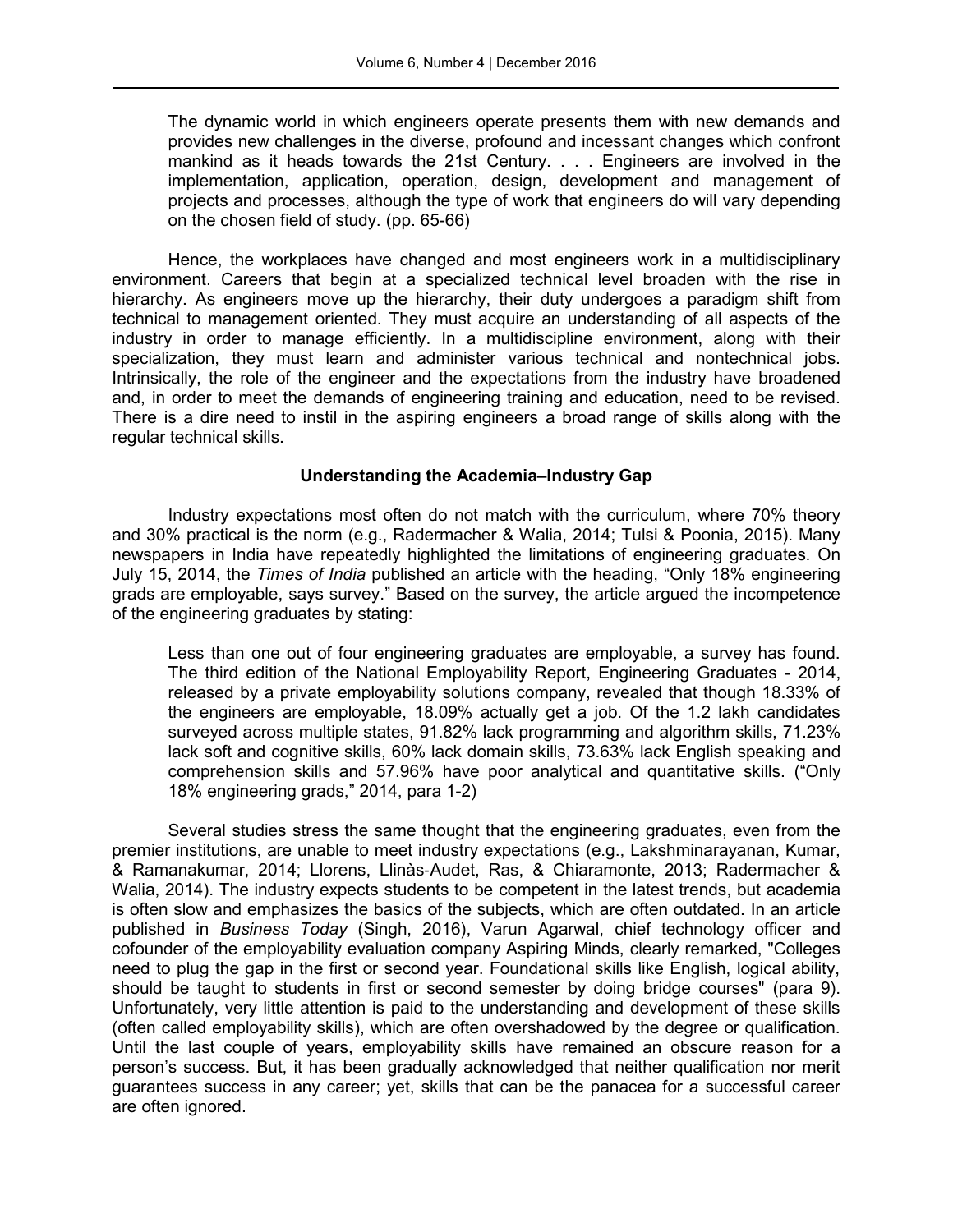The dynamic world in which engineers operate presents them with new demands and provides new challenges in the diverse, profound and incessant changes which confront mankind as it heads towards the 21st Century. . . . Engineers are involved in the implementation, application, operation, design, development and management of projects and processes, although the type of work that engineers do will vary depending on the chosen field of study. (pp. 65-66)

Hence, the workplaces have changed and most engineers work in a multidisciplinary environment. Careers that begin at a specialized technical level broaden with the rise in hierarchy. As engineers move up the hierarchy, their duty undergoes a paradigm shift from technical to management oriented. They must acquire an understanding of all aspects of the industry in order to manage efficiently. In a multidiscipline environment, along with their specialization, they must learn and administer various technical and nontechnical jobs. Intrinsically, the role of the engineer and the expectations from the industry have broadened and, in order to meet the demands of engineering training and education, need to be revised. There is a dire need to instil in the aspiring engineers a broad range of skills along with the regular technical skills.

## **Understanding the Academia–Industry Gap**

Industry expectations most often do not match with the curriculum, where 70% theory and 30% practical is the norm (e.g., Radermacher & Walia, 2014; Tulsi & Poonia, 2015). Many newspapers in India have repeatedly highlighted the limitations of engineering graduates. On July 15, 2014, the *Times of India* published an article with the heading, "Only 18% engineering grads are employable, says survey." Based on the survey, the article argued the incompetence of the engineering graduates by stating:

Less than one out of four engineering graduates are employable, a survey has found. The third edition of the National Employability Report, Engineering Graduates - 2014, released by a private employability solutions company, revealed that though 18.33% of the engineers are employable, 18.09% actually get a job. Of the 1.2 lakh candidates surveyed across multiple states, 91.82% lack programming and algorithm skills, 71.23% lack soft and cognitive skills, 60% lack domain skills, 73.63% lack English speaking and comprehension skills and 57.96% have poor analytical and quantitative skills. ("Only 18% engineering grads," 2014, para 1-2)

Several studies stress the same thought that the engineering graduates, even from the premier institutions, are unable to meet industry expectations (e.g., Lakshminarayanan, Kumar, & Ramanakumar, 2014; Llorens, Llinàs‐Audet, Ras, & Chiaramonte, 2013; Radermacher & Walia, 2014). The industry expects students to be competent in the latest trends, but academia is often slow and emphasizes the basics of the subjects, which are often outdated. In an article published in *Business Today* (Singh, 2016), Varun Agarwal, chief technology officer and cofounder of the employability evaluation company Aspiring Minds, clearly remarked, "Colleges need to plug the gap in the first or second year. Foundational skills like English, logical ability, should be taught to students in first or second semester by doing bridge courses" (para 9). Unfortunately, very little attention is paid to the understanding and development of these skills (often called employability skills), which are often overshadowed by the degree or qualification. Until the last couple of years, employability skills have remained an obscure reason for a person's success. But, it has been gradually acknowledged that neither qualification nor merit guarantees success in any career; yet, skills that can be the panacea for a successful career are often ignored.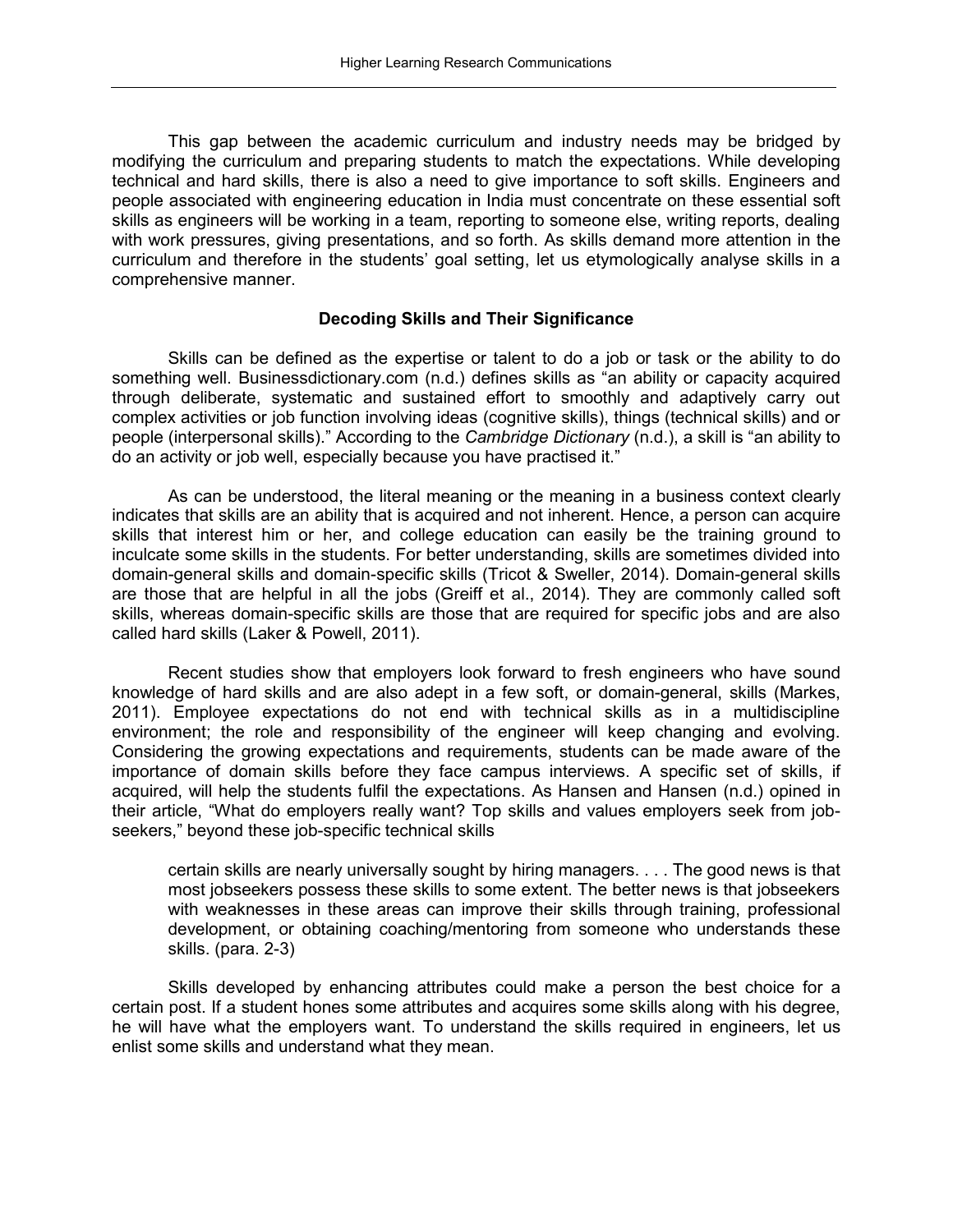This gap between the academic curriculum and industry needs may be bridged by modifying the curriculum and preparing students to match the expectations. While developing technical and hard skills, there is also a need to give importance to soft skills. Engineers and people associated with engineering education in India must concentrate on these essential soft skills as engineers will be working in a team, reporting to someone else, writing reports, dealing with work pressures, giving presentations, and so forth. As skills demand more attention in the curriculum and therefore in the students' goal setting, let us etymologically analyse skills in a comprehensive manner.

#### **Decoding Skills and Their Significance**

Skills can be defined as the expertise or talent to do a job or task or the ability to do something well. Businessdictionary.com (n.d.) defines skills as "an ability or capacity acquired through deliberate, systematic and sustained effort to smoothly and adaptively carry out complex activities or job function involving ideas (cognitive skills), things (technical skills) and or people (interpersonal skills)." According to the *Cambridge Dictionary* (n.d.), a skill is "an ability to do an activity or job well, especially because you have practised it."

As can be understood, the literal meaning or the meaning in a business context clearly indicates that skills are an ability that is acquired and not inherent. Hence, a person can acquire skills that interest him or her, and college education can easily be the training ground to inculcate some skills in the students. For better understanding, skills are sometimes divided into domain-general skills and domain-specific skills (Tricot & Sweller, 2014). Domain-general skills are those that are helpful in all the jobs (Greiff et al., 2014). They are commonly called soft skills, whereas domain-specific skills are those that are required for specific jobs and are also called hard skills (Laker & Powell, 2011).

Recent studies show that employers look forward to fresh engineers who have sound knowledge of hard skills and are also adept in a few soft, or domain-general, skills (Markes, 2011). Employee expectations do not end with technical skills as in a multidiscipline environment; the role and responsibility of the engineer will keep changing and evolving. Considering the growing expectations and requirements, students can be made aware of the importance of domain skills before they face campus interviews. A specific set of skills, if acquired, will help the students fulfil the expectations. As Hansen and Hansen (n.d.) opined in their article, "What do employers really want? Top skills and values employers seek from jobseekers," beyond these job-specific technical skills

certain skills are nearly universally sought by hiring managers. . . . The good news is that most jobseekers possess these skills to some extent. The better news is that jobseekers with weaknesses in these areas can improve their skills through training, professional development, or obtaining coaching/mentoring from someone who understands these skills. (para. 2-3)

Skills developed by enhancing attributes could make a person the best choice for a certain post. If a student hones some attributes and acquires some skills along with his degree, he will have what the employers want. To understand the skills required in engineers, let us enlist some skills and understand what they mean.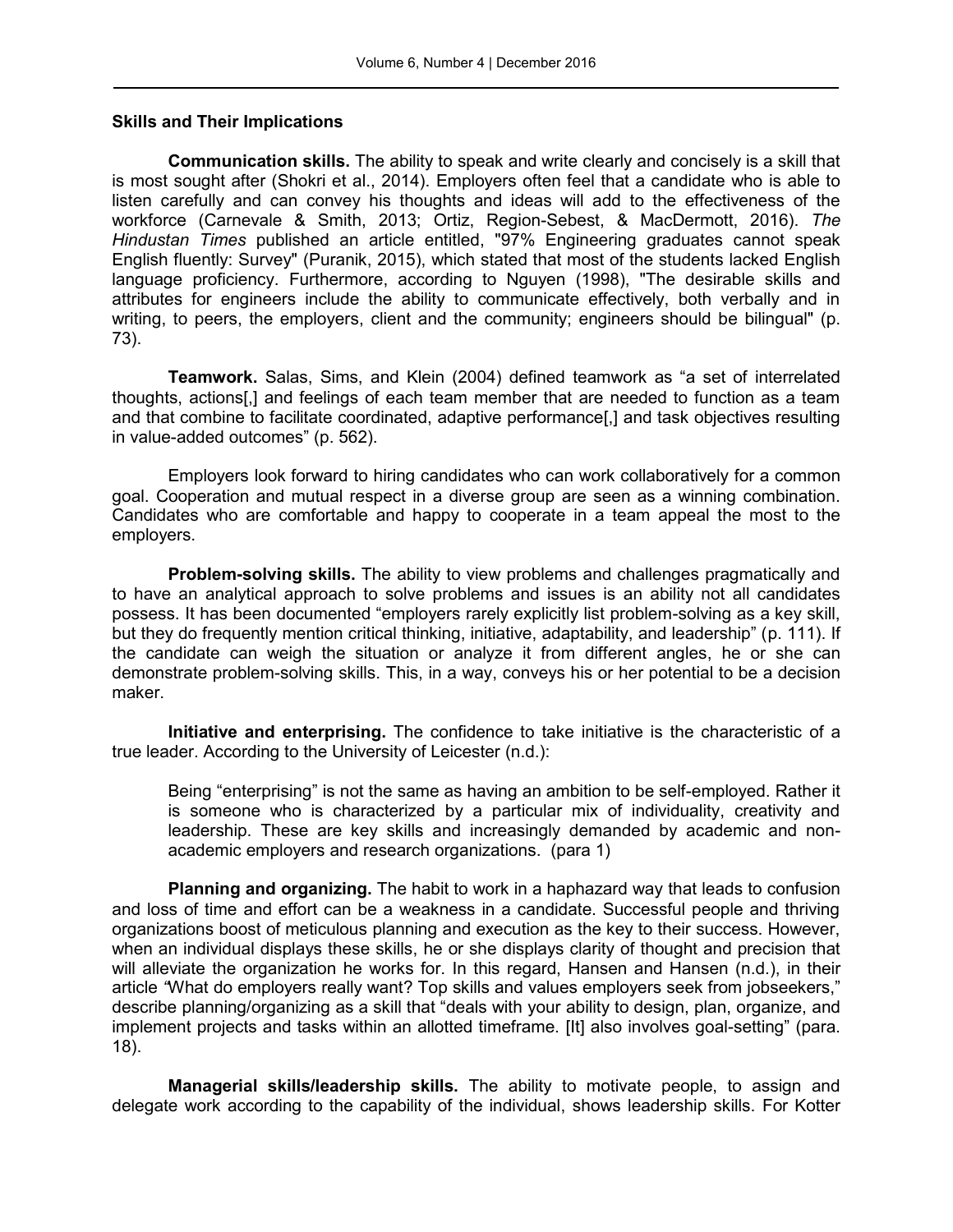## **Skills and Their Implications**

**Communication skills.** The ability to speak and write clearly and concisely is a skill that is most sought after (Shokri et al., 2014). Employers often feel that a candidate who is able to listen carefully and can convey his thoughts and ideas will add to the effectiveness of the workforce (Carnevale & Smith, 2013; Ortiz, Region-Sebest, & MacDermott, 2016). *The Hindustan Times* published an article entitled, "97% Engineering graduates cannot speak English fluently: Survey" (Puranik, 2015), which stated that most of the students lacked English language proficiency. Furthermore, according to Nguyen (1998), "The desirable skills and attributes for engineers include the ability to communicate effectively, both verbally and in writing, to peers, the employers, client and the community; engineers should be bilingual" (p. 73).

**Teamwork.** Salas, Sims, and Klein (2004) defined teamwork as "a set of interrelated thoughts, actions[,] and feelings of each team member that are needed to function as a team and that combine to facilitate coordinated, adaptive performance[,] and task objectives resulting in value-added outcomes" (p. 562).

Employers look forward to hiring candidates who can work collaboratively for a common goal. Cooperation and mutual respect in a diverse group are seen as a winning combination. Candidates who are comfortable and happy to cooperate in a team appeal the most to the employers.

**Problem-solving skills.** The ability to view problems and challenges pragmatically and to have an analytical approach to solve problems and issues is an ability not all candidates possess. It has been documented "employers rarely explicitly list problem-solving as a key skill, but they do frequently mention critical thinking, initiative, adaptability, and leadership" (p. 111). If the candidate can weigh the situation or analyze it from different angles, he or she can demonstrate problem-solving skills. This, in a way, conveys his or her potential to be a decision maker.

**Initiative and enterprising.** The confidence to take initiative is the characteristic of a true leader. According to the University of Leicester (n.d.):

Being "enterprising" is not the same as having an ambition to be self-employed. Rather it is someone who is characterized by a particular mix of individuality, creativity and leadership. These are key skills and increasingly demanded by academic and nonacademic employers and research organizations. (para 1)

**Planning and organizing.** The habit to work in a haphazard way that leads to confusion and loss of time and effort can be a weakness in a candidate. Successful people and thriving organizations boost of meticulous planning and execution as the key to their success. However, when an individual displays these skills, he or she displays clarity of thought and precision that will alleviate the organization he works for. In this regard, Hansen and Hansen (n.d.), in their article *"*What do employers really want? Top skills and values employers seek from jobseekers," describe planning/organizing as a skill that "deals with your ability to design, plan, organize, and implement projects and tasks within an allotted timeframe. [It] also involves goal-setting" (para. 18).

**Managerial skills/leadership skills.** The ability to motivate people, to assign and delegate work according to the capability of the individual, shows leadership skills. For Kotter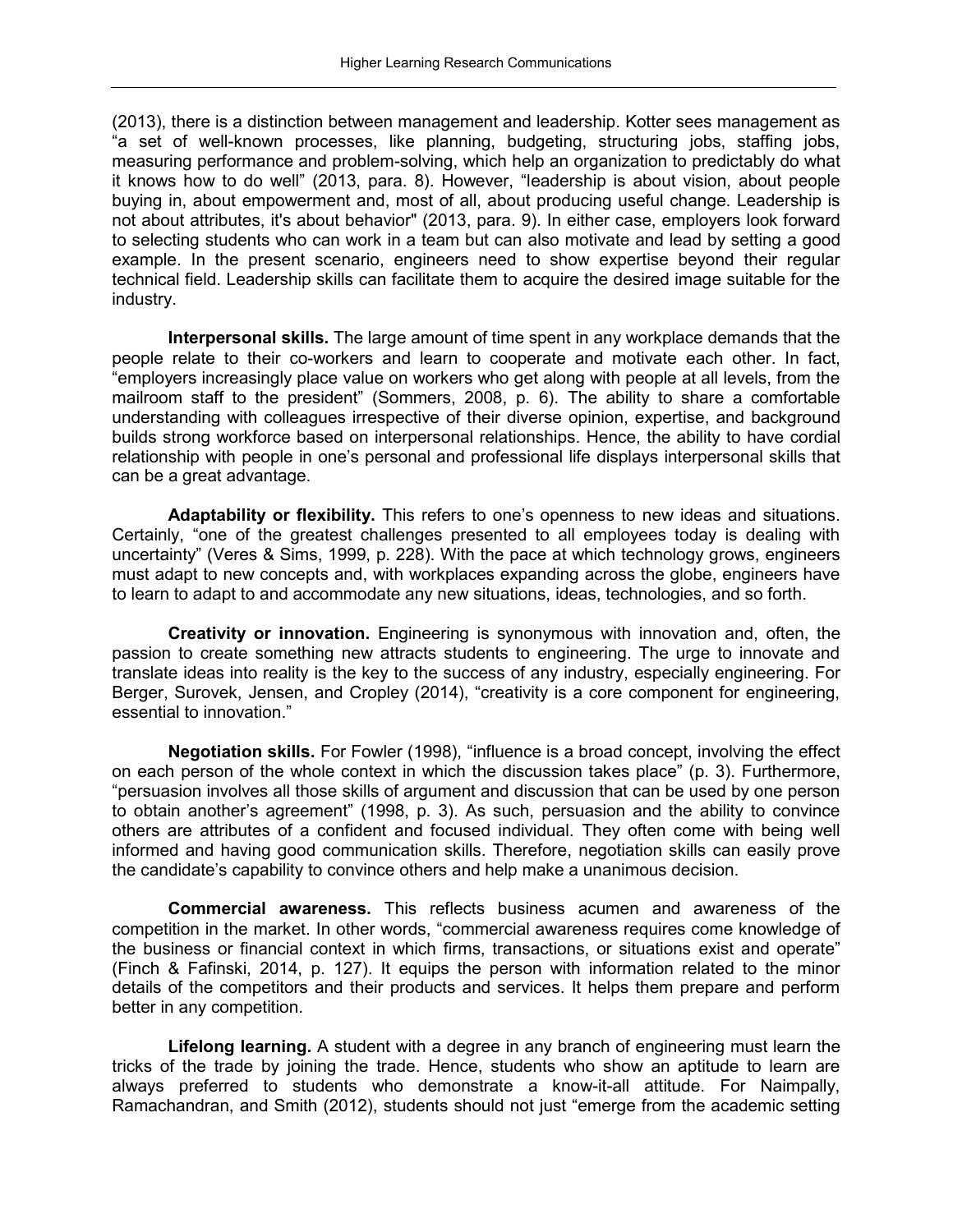(2013), there is a distinction between management and leadership. Kotter sees management as "a set of well-known processes, like planning, budgeting, structuring jobs, staffing jobs, measuring performance and problem-solving, which help an organization to predictably do what it knows how to do well" (2013, para. 8). However, "leadership is about vision, about people buying in, about empowerment and, most of all, about producing useful change. Leadership is not about attributes, it's about behavior" (2013, para. 9). In either case, employers look forward to selecting students who can work in a team but can also motivate and lead by setting a good example. In the present scenario, engineers need to show expertise beyond their regular technical field. Leadership skills can facilitate them to acquire the desired image suitable for the industry.

**Interpersonal skills.** The large amount of time spent in any workplace demands that the people relate to their co-workers and learn to cooperate and motivate each other. In fact, "employers increasingly place value on workers who get along with people at all levels, from the mailroom staff to the president" (Sommers, 2008, p. 6). The ability to share a comfortable understanding with colleagues irrespective of their diverse opinion, expertise, and background builds strong workforce based on interpersonal relationships. Hence, the ability to have cordial relationship with people in one's personal and professional life displays interpersonal skills that can be a great advantage.

**Adaptability or flexibility.** This refers to one's openness to new ideas and situations. Certainly, "one of the greatest challenges presented to all employees today is dealing with uncertainty" (Veres & Sims, 1999, p. 228). With the pace at which technology grows, engineers must adapt to new concepts and, with workplaces expanding across the globe, engineers have to learn to adapt to and accommodate any new situations, ideas, technologies, and so forth.

**Creativity or innovation.** Engineering is synonymous with innovation and, often, the passion to create something new attracts students to engineering. The urge to innovate and translate ideas into reality is the key to the success of any industry, especially engineering. For Berger, Surovek, Jensen, and Cropley (2014), "creativity is a core component for engineering, essential to innovation."

**Negotiation skills.** For Fowler (1998), "influence is a broad concept, involving the effect on each person of the whole context in which the discussion takes place" (p. 3). Furthermore, "persuasion involves all those skills of argument and discussion that can be used by one person to obtain another's agreement" (1998, p. 3). As such, persuasion and the ability to convince others are attributes of a confident and focused individual. They often come with being well informed and having good communication skills. Therefore, negotiation skills can easily prove the candidate's capability to convince others and help make a unanimous decision.

**Commercial awareness.** This reflects business acumen and awareness of the competition in the market. In other words, "commercial awareness requires come knowledge of the business or financial context in which firms, transactions, or situations exist and operate" (Finch & Fafinski, 2014, p. 127). It equips the person with information related to the minor details of the competitors and their products and services. It helps them prepare and perform better in any competition.

**Lifelong learning.** A student with a degree in any branch of engineering must learn the tricks of the trade by joining the trade. Hence, students who show an aptitude to learn are always preferred to students who demonstrate a know-it-all attitude. For Naimpally, Ramachandran, and Smith (2012), students should not just "emerge from the academic setting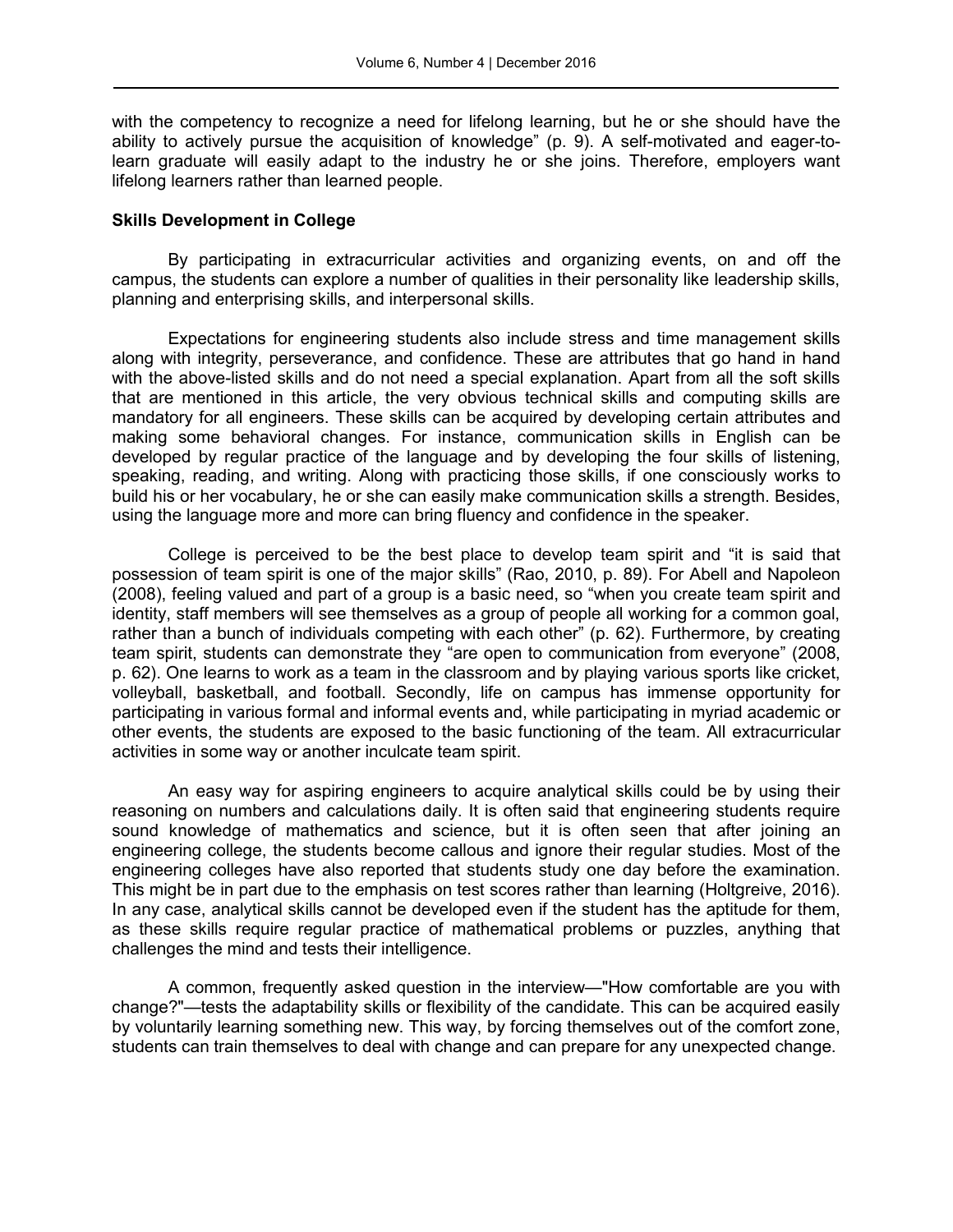with the competency to recognize a need for lifelong learning, but he or she should have the ability to actively pursue the acquisition of knowledge" (p. 9). A self-motivated and eager-tolearn graduate will easily adapt to the industry he or she joins. Therefore, employers want lifelong learners rather than learned people.

## **Skills Development in College**

By participating in extracurricular activities and organizing events, on and off the campus, the students can explore a number of qualities in their personality like leadership skills, planning and enterprising skills, and interpersonal skills.

Expectations for engineering students also include stress and time management skills along with integrity, perseverance, and confidence. These are attributes that go hand in hand with the above-listed skills and do not need a special explanation. Apart from all the soft skills that are mentioned in this article, the very obvious technical skills and computing skills are mandatory for all engineers. These skills can be acquired by developing certain attributes and making some behavioral changes. For instance, communication skills in English can be developed by regular practice of the language and by developing the four skills of listening, speaking, reading, and writing. Along with practicing those skills, if one consciously works to build his or her vocabulary, he or she can easily make communication skills a strength. Besides, using the language more and more can bring fluency and confidence in the speaker.

College is perceived to be the best place to develop team spirit and "it is said that possession of team spirit is one of the major skills" (Rao, 2010, p. 89). For Abell and Napoleon (2008), feeling valued and part of a group is a basic need, so "when you create team spirit and identity, staff members will see themselves as a group of people all working for a common goal, rather than a bunch of individuals competing with each other" (p. 62). Furthermore, by creating team spirit, students can demonstrate they "are open to communication from everyone" (2008, p. 62). One learns to work as a team in the classroom and by playing various sports like cricket, volleyball, basketball, and football. Secondly, life on campus has immense opportunity for participating in various formal and informal events and, while participating in myriad academic or other events, the students are exposed to the basic functioning of the team. All extracurricular activities in some way or another inculcate team spirit.

An easy way for aspiring engineers to acquire analytical skills could be by using their reasoning on numbers and calculations daily. It is often said that engineering students require sound knowledge of mathematics and science, but it is often seen that after joining an engineering college, the students become callous and ignore their regular studies. Most of the engineering colleges have also reported that students study one day before the examination. This might be in part due to the emphasis on test scores rather than learning (Holtgreive, 2016). In any case, analytical skills cannot be developed even if the student has the aptitude for them, as these skills require regular practice of mathematical problems or puzzles, anything that challenges the mind and tests their intelligence.

A common, frequently asked question in the interview—"How comfortable are you with change?"—tests the adaptability skills or flexibility of the candidate. This can be acquired easily by voluntarily learning something new. This way, by forcing themselves out of the comfort zone, students can train themselves to deal with change and can prepare for any unexpected change.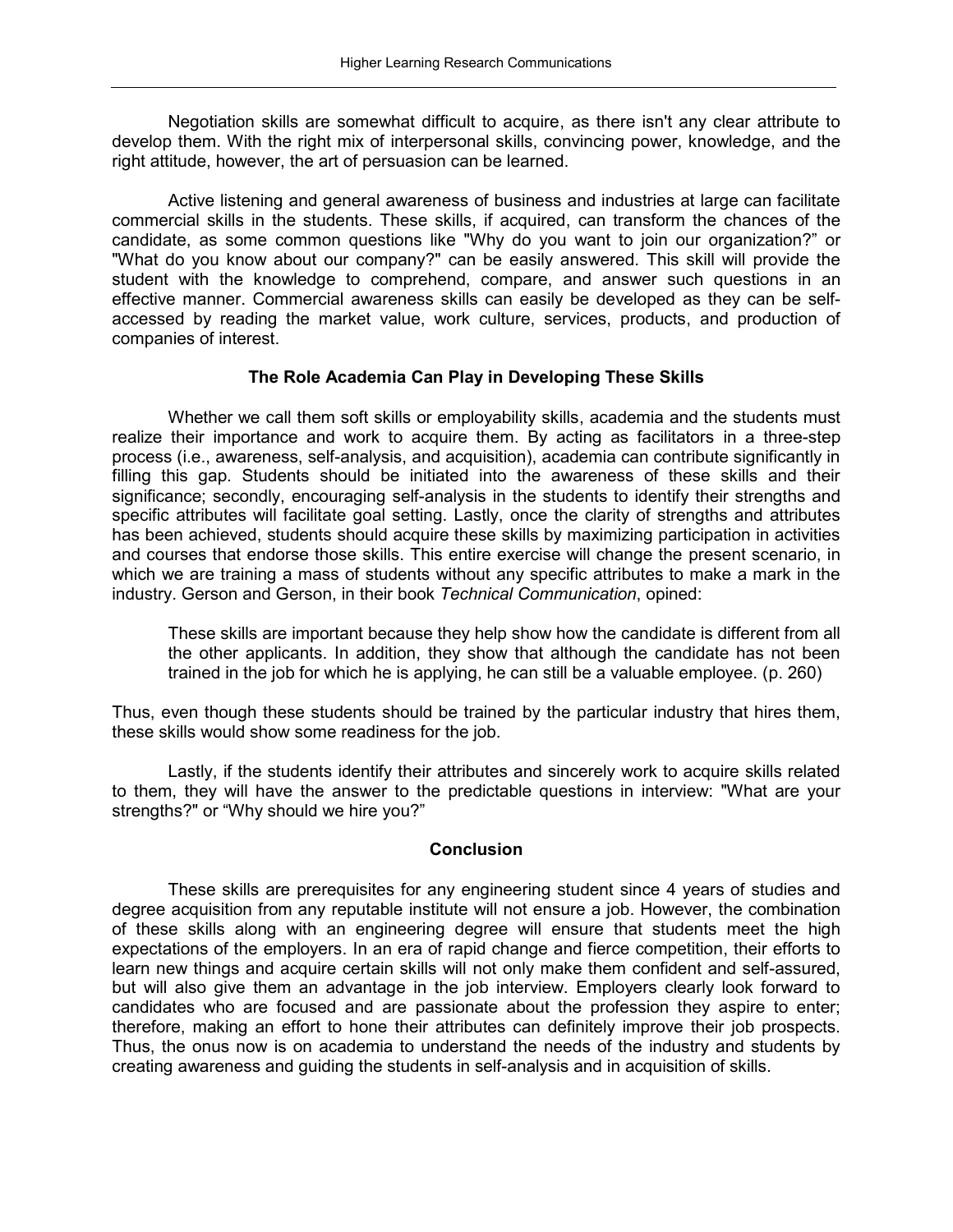Negotiation skills are somewhat difficult to acquire, as there isn't any clear attribute to develop them. With the right mix of interpersonal skills, convincing power, knowledge, and the right attitude, however, the art of persuasion can be learned.

Active listening and general awareness of business and industries at large can facilitate commercial skills in the students. These skills, if acquired, can transform the chances of the candidate, as some common questions like "Why do you want to join our organization?" or "What do you know about our company?" can be easily answered. This skill will provide the student with the knowledge to comprehend, compare, and answer such questions in an effective manner. Commercial awareness skills can easily be developed as they can be selfaccessed by reading the market value, work culture, services, products, and production of companies of interest.

## **The Role Academia Can Play in Developing These Skills**

Whether we call them soft skills or employability skills, academia and the students must realize their importance and work to acquire them. By acting as facilitators in a three-step process (i.e., awareness, self-analysis, and acquisition), academia can contribute significantly in filling this gap. Students should be initiated into the awareness of these skills and their significance; secondly, encouraging self-analysis in the students to identify their strengths and specific attributes will facilitate goal setting. Lastly, once the clarity of strengths and attributes has been achieved, students should acquire these skills by maximizing participation in activities and courses that endorse those skills. This entire exercise will change the present scenario, in which we are training a mass of students without any specific attributes to make a mark in the industry. Gerson and Gerson, in their book *Technical Communication*, opined:

These skills are important because they help show how the candidate is different from all the other applicants. In addition, they show that although the candidate has not been trained in the job for which he is applying, he can still be a valuable employee. (p. 260)

Thus, even though these students should be trained by the particular industry that hires them, these skills would show some readiness for the job.

Lastly, if the students identify their attributes and sincerely work to acquire skills related to them, they will have the answer to the predictable questions in interview: "What are your strengths?" or "Why should we hire you?"

#### **Conclusion**

These skills are prerequisites for any engineering student since 4 years of studies and degree acquisition from any reputable institute will not ensure a job. However, the combination of these skills along with an engineering degree will ensure that students meet the high expectations of the employers. In an era of rapid change and fierce competition, their efforts to learn new things and acquire certain skills will not only make them confident and self-assured, but will also give them an advantage in the job interview. Employers clearly look forward to candidates who are focused and are passionate about the profession they aspire to enter; therefore, making an effort to hone their attributes can definitely improve their job prospects. Thus, the onus now is on academia to understand the needs of the industry and students by creating awareness and guiding the students in self-analysis and in acquisition of skills.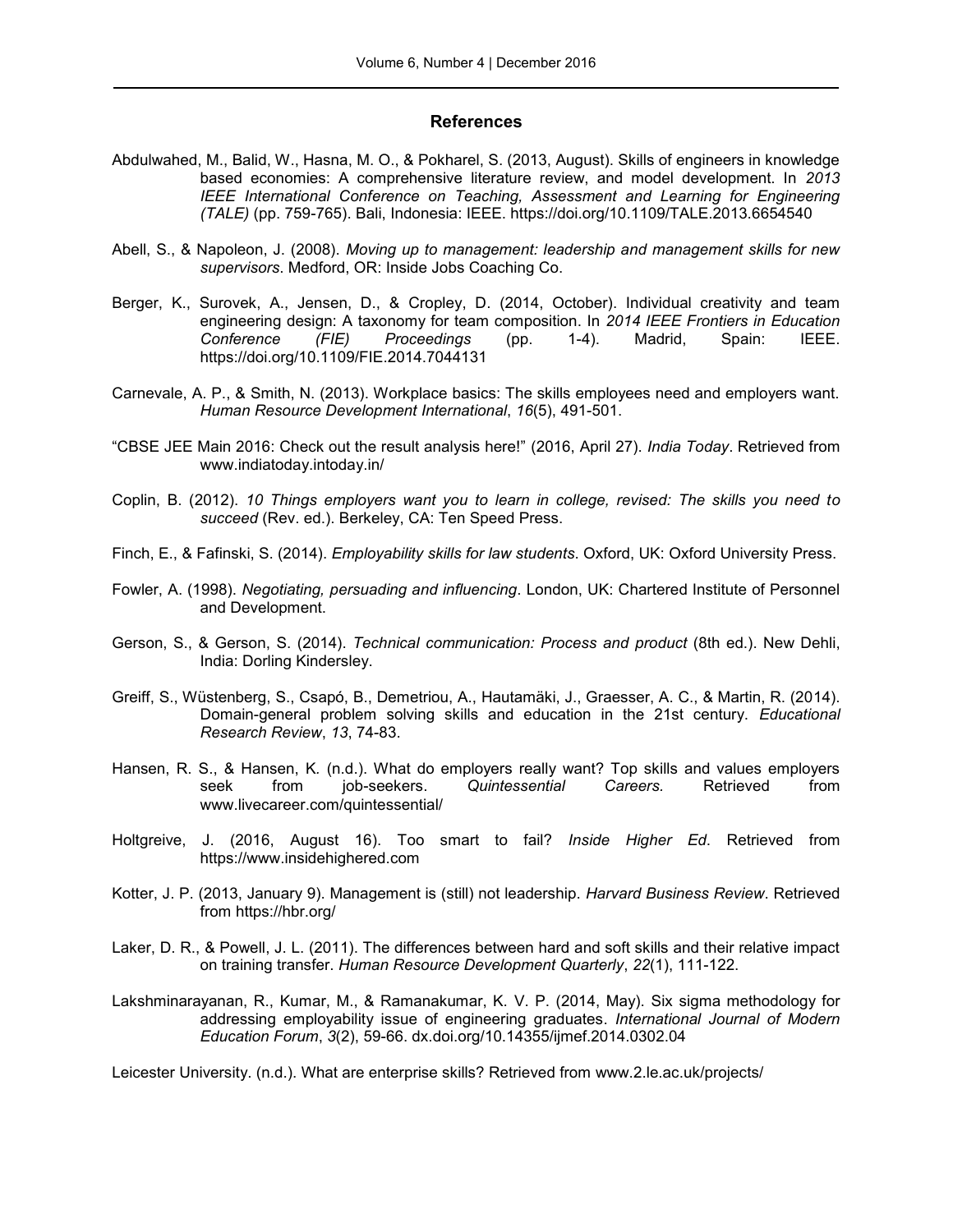#### **References**

- Abdulwahed, M., Balid, W., Hasna, M. O., & Pokharel, S. (2013, August). Skills of engineers in knowledge based economies: A comprehensive literature review, and model development. In *2013 IEEE International Conference on Teaching, Assessment and Learning for Engineering (TALE)* (pp. 759-765). Bali, Indonesia: IEEE. https://doi.org/10.1109/TALE.2013.6654540
- Abell, S., & Napoleon, J. (2008). *Moving up to management: leadership and management skills for new supervisors*. Medford, OR: Inside Jobs Coaching Co.
- Berger, K., Surovek, A., Jensen, D., & Cropley, D. (2014, October). Individual creativity and team engineering design: A taxonomy for team composition. In *2014 IEEE Frontiers in Education Conference (FIE) Proceedings* (pp. 1-4). Madrid, Spain: IEEE. https://doi.org/10.1109/FIE.2014.7044131
- Carnevale, A. P., & Smith, N. (2013). Workplace basics: The skills employees need and employers want. *Human Resource Development International*, *16*(5), 491-501.
- "CBSE JEE Main 2016: Check out the result analysis here!" (2016, April 27). *India Today*. Retrieved from www[.indiatoday.intoday.in/](http://indiatoday.intoday.in/education/story/cbse-jee-main-results-2016/1/652760.%20Accessed%20on%2023%20July2016.www.businessdictionary.com/definition/skill.html)
- Coplin, B. (2012). *10 Things employers want you to learn in college, revised: The skills you need to succeed* (Rev. ed.). Berkeley, CA: Ten Speed Press.
- Finch, E., & Fafinski, S. (2014). *Employability skills for law students*. Oxford, UK: Oxford University Press.
- Fowler, A. (1998). *Negotiating, persuading and influencing*. London, UK: Chartered Institute of Personnel and Development.
- Gerson, S., & Gerson, S. (2014). *Technical communication: Process and product* (8th ed.). New Dehli, India: Dorling Kindersley.
- Greiff, S., Wüstenberg, S., Csapó, B., Demetriou, A., Hautamäki, J., Graesser, A. C., & Martin, R. (2014). Domain-general problem solving skills and education in the 21st century. *Educational Research Review*, *13*, 74-83.
- Hansen, R. S., & Hansen, K*.* (n.d.). What do employers really want? Top skills and values employers seek from job-seekers. *Quintessential Careers.* Retrieved from www.livecareer.com/quintessential/
- Holtgreive, J. (2016, August 16). Too smart to fail? *Inside Higher Ed*. Retrieved from https://www.insidehighered.com
- Kotter, J. P. (2013, January 9). Management is (still) not leadership. *Harvard Business Review*. Retrieved from https://hbr.org/
- Laker, D. R., & Powell, J. L. (2011). The differences between hard and soft skills and their relative impact on training transfer. *Human Resource Development Quarterly*, *22*(1), 111-122.
- Lakshminarayanan, R., Kumar, M., & Ramanakumar, K. V. P. (2014, May). Six sigma methodology for addressing employability issue of engineering graduates. *International Journal of Modern Education Forum*, *3*(2), 59-66. dx.doi.org/10.14355/ijmef.2014.0302.04

Leicester University. (n.d.). What are enterprise skills? Retrieved from www.2.le.ac.uk/projects/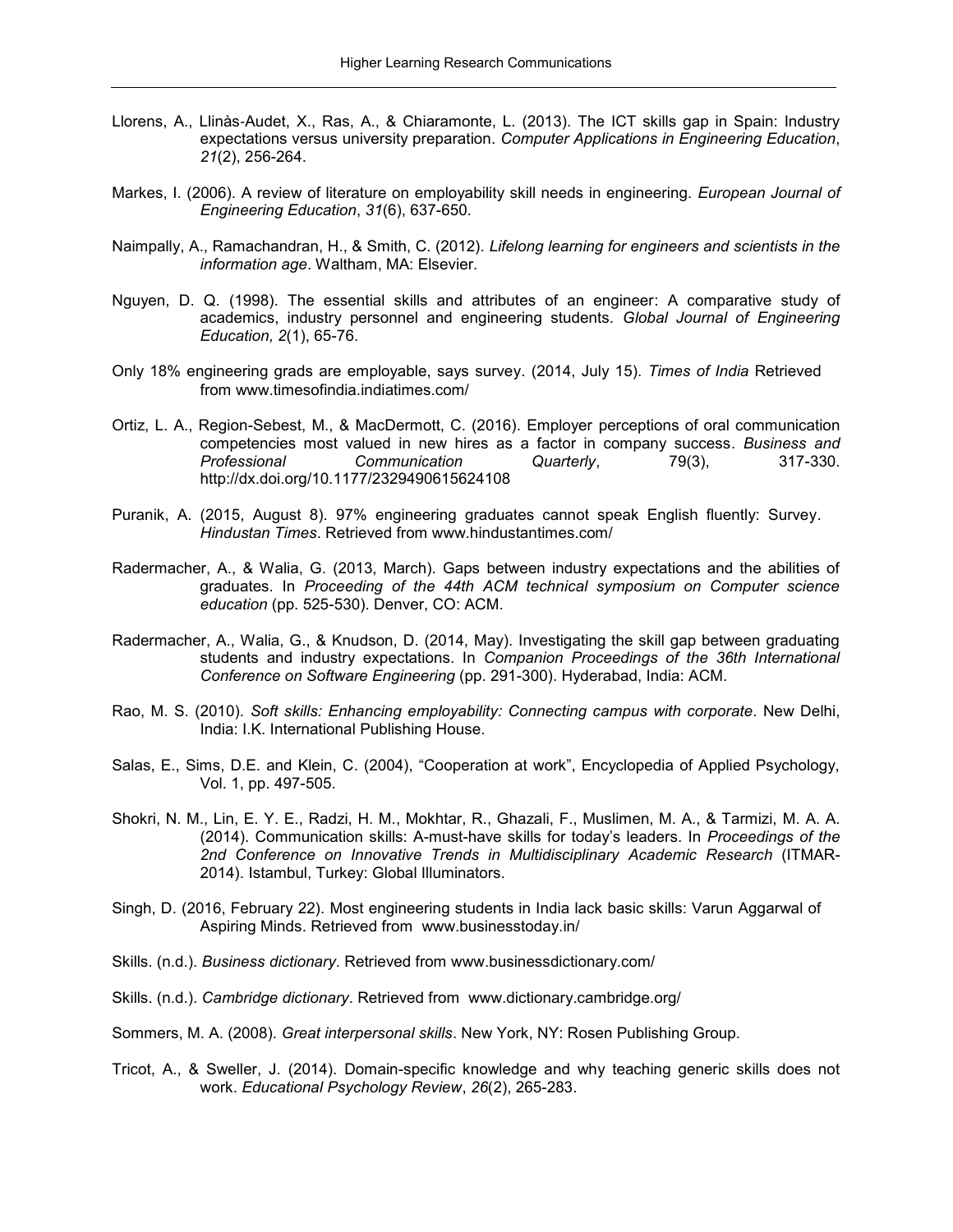- Llorens, A., Llinàs‐Audet, X., Ras, A., & Chiaramonte, L. (2013). The ICT skills gap in Spain: Industry expectations versus university preparation. *Computer Applications in Engineering Education*, *21*(2), 256-264.
- Markes, I. (2006). A review of literature on employability skill needs in engineering. *European Journal of Engineering Education*, *31*(6), 637-650.
- Naimpally, A., Ramachandran, H., & Smith, C. (2012). *Lifelong learning for engineers and scientists in the information age*. Waltham, MA: Elsevier.
- Nguyen, D. Q. (1998). The essential skills and attributes of an engineer: A comparative study of academics, industry personnel and engineering students. *Global Journal of Engineering Education, 2*(1), 65-76.
- Only 18% engineering grads are employable, says survey. (2014, July 15). *Times of India* Retrieved from www[.timesofindia.indiatimes.com/](http://timesofindia.indiatimes.com/city/mumbai/Only-18-engineering-grads-are-employable-says-survey/articleshow/38438996.cms)
- Ortiz, L. A., Region-Sebest, M., & MacDermott, C. (2016). Employer perceptions of oral communication competencies most valued in new hires as a factor in company success. *Business and Professional Communication Quarterly*, 79(3), 317-330. http://dx.doi.org/10.1177/2329490615624108
- Puranik, A. (2015, August 8). 97% engineering graduates cannot speak English fluently: Survey. *Hindustan Times*. Retrieved from [www.hindustantimes.com/](http://www.hindustantimes.com/education/97-engineering-graduates-cannot-speak-english-fluently-survey/story-GQEkTYwI4AX5zc7oeXkz1M.html)
- Radermacher, A., & Walia, G. (2013, March). Gaps between industry expectations and the abilities of graduates. In *Proceeding of the 44th ACM technical symposium on Computer science education* (pp. 525-530). Denver, CO: ACM.
- Radermacher, A., Walia, G., & Knudson, D. (2014, May). Investigating the skill gap between graduating students and industry expectations. In *Companion Proceedings of the 36th International Conference on Software Engineering* (pp. 291-300). Hyderabad, India: ACM.
- Rao, M. S. (2010). *Soft skills: Enhancing employability: Connecting campus with corporate*. New Delhi, India: I.K. International Publishing House.
- Salas, E., Sims, D.E. and Klein, C. (2004), "Cooperation at work", Encyclopedia of Applied Psychology, Vol. 1, pp. 497-505.
- Shokri, N. M., Lin, E. Y. E., Radzi, H. M., Mokhtar, R., Ghazali, F., Muslimen, M. A., & Tarmizi, M. A. A. (2014). Communication skills: A-must-have skills for today's leaders. In *Proceedings of the 2nd Conference on Innovative Trends in Multidisciplinary Academic Research* (ITMAR-2014). Istambul, Turkey: Global Illuminators.
- Singh, D. (2016, February 22). Most engineering students in India lack basic skills: Varun Aggarwal of Aspiring Minds. Retrieved from www.businesstoday.in/
- Skills. (n.d.). *Business dictionary*. Retrieved from www.businessdictionary.com/
- Skills. (n.d.). *Cambridge dictionary*. Retrieved from www.dictionary.cambridge.org/
- Sommers, M. A. (2008). *Great interpersonal skills*. New York, NY: Rosen Publishing Group.
- Tricot, A., & Sweller, J. (2014). Domain-specific knowledge and why teaching generic skills does not work. *Educational Psychology Review*, *26*(2), 265-283.